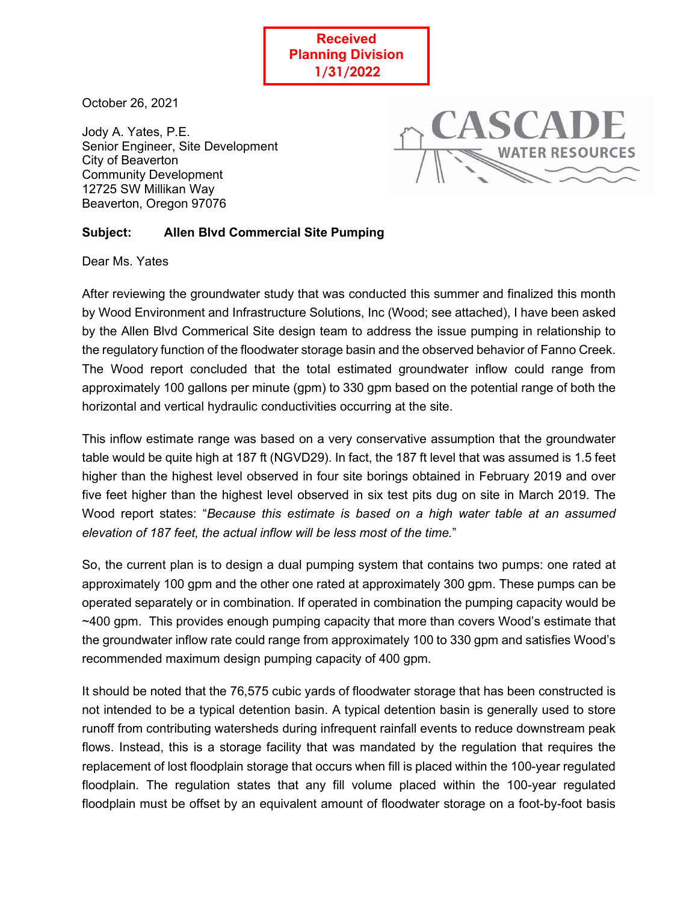**Received Planning Division 1/31/2022**

j

October 26, 2021

Jody A. Yates, P.E. Senior Engineer, Site Development City of Beaverton Community Development 12725 SW Millikan Way Beaverton, Oregon 97076



## **Subject: Allen Blvd Commercial Site Pumping**

Dear Ms. Yates

After reviewing the groundwater study that was conducted this summer and finalized this month by Wood Environment and Infrastructure Solutions, Inc (Wood; see attached), I have been asked by the Allen Blvd Commerical Site design team to address the issue pumping in relationship to the regulatory function of the floodwater storage basin and the observed behavior of Fanno Creek. The Wood report concluded that the total estimated groundwater inflow could range from approximately 100 gallons per minute (gpm) to 330 gpm based on the potential range of both the horizontal and vertical hydraulic conductivities occurring at the site.

This inflow estimate range was based on a very conservative assumption that the groundwater table would be quite high at 187 ft (NGVD29). In fact, the 187 ft level that was assumed is 1.5 feet higher than the highest level observed in four site borings obtained in February 2019 and over five feet higher than the highest level observed in six test pits dug on site in March 2019. The Wood report states: "*Because this estimate is based on a high water table at an assumed elevation of 187 feet, the actual inflow will be less most of the time.*"

So, the current plan is to design a dual pumping system that contains two pumps: one rated at approximately 100 gpm and the other one rated at approximately 300 gpm. These pumps can be operated separately or in combination. If operated in combination the pumping capacity would be ~400 gpm. This provides enough pumping capacity that more than covers Wood's estimate that the groundwater inflow rate could range from approximately 100 to 330 gpm and satisfies Wood's recommended maximum design pumping capacity of 400 gpm.

It should be noted that the 76,575 cubic yards of floodwater storage that has been constructed is not intended to be a typical detention basin. A typical detention basin is generally used to store runoff from contributing watersheds during infrequent rainfall events to reduce downstream peak flows. Instead, this is a storage facility that was mandated by the regulation that requires the replacement of lost floodplain storage that occurs when fill is placed within the 100-year regulated floodplain. The regulation states that any fill volume placed within the 100-year regulated floodplain must be offset by an equivalent amount of floodwater storage on a foot-by-foot basis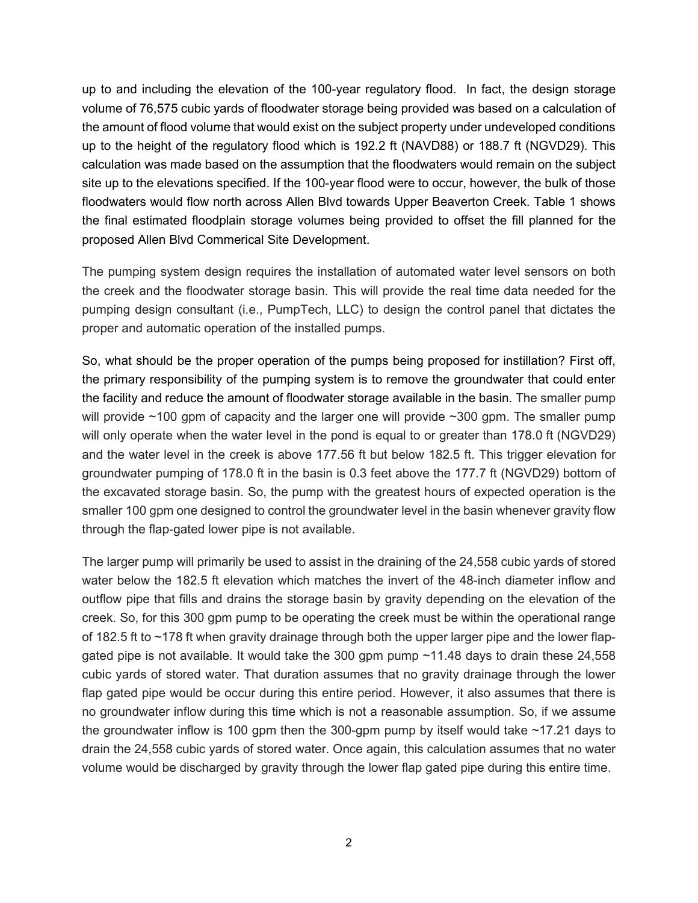up to and including the elevation of the 100-year regulatory flood. In fact, the design storage volume of 76,575 cubic yards of floodwater storage being provided was based on a calculation of the amount of flood volume that would exist on the subject property under undeveloped conditions up to the height of the regulatory flood which is 192.2 ft (NAVD88) or 188.7 ft (NGVD29). This calculation was made based on the assumption that the floodwaters would remain on the subject site up to the elevations specified. If the 100-year flood were to occur, however, the bulk of those floodwaters would flow north across Allen Blvd towards Upper Beaverton Creek. Table 1 shows the final estimated floodplain storage volumes being provided to offset the fill planned for the proposed Allen Blvd Commerical Site Development.

The pumping system design requires the installation of automated water level sensors on both the creek and the floodwater storage basin. This will provide the real time data needed for the pumping design consultant (i.e., PumpTech, LLC) to design the control panel that dictates the proper and automatic operation of the installed pumps.

So, what should be the proper operation of the pumps being proposed for instillation? First off, the primary responsibility of the pumping system is to remove the groundwater that could enter the facility and reduce the amount of floodwater storage available in the basin. The smaller pump will provide ~100 gpm of capacity and the larger one will provide ~300 gpm. The smaller pump will only operate when the water level in the pond is equal to or greater than 178.0 ft (NGVD29) and the water level in the creek is above 177.56 ft but below 182.5 ft. This trigger elevation for groundwater pumping of 178.0 ft in the basin is 0.3 feet above the 177.7 ft (NGVD29) bottom of the excavated storage basin. So, the pump with the greatest hours of expected operation is the smaller 100 gpm one designed to control the groundwater level in the basin whenever gravity flow through the flap-gated lower pipe is not available.

The larger pump will primarily be used to assist in the draining of the 24,558 cubic yards of stored water below the 182.5 ft elevation which matches the invert of the 48-inch diameter inflow and outflow pipe that fills and drains the storage basin by gravity depending on the elevation of the creek. So, for this 300 gpm pump to be operating the creek must be within the operational range of 182.5 ft to ~178 ft when gravity drainage through both the upper larger pipe and the lower flapgated pipe is not available. It would take the 300 gpm pump ~11.48 days to drain these 24,558 cubic yards of stored water. That duration assumes that no gravity drainage through the lower flap gated pipe would be occur during this entire period. However, it also assumes that there is no groundwater inflow during this time which is not a reasonable assumption. So, if we assume the groundwater inflow is 100 gpm then the 300-gpm pump by itself would take ~17.21 days to drain the 24,558 cubic yards of stored water. Once again, this calculation assumes that no water volume would be discharged by gravity through the lower flap gated pipe during this entire time.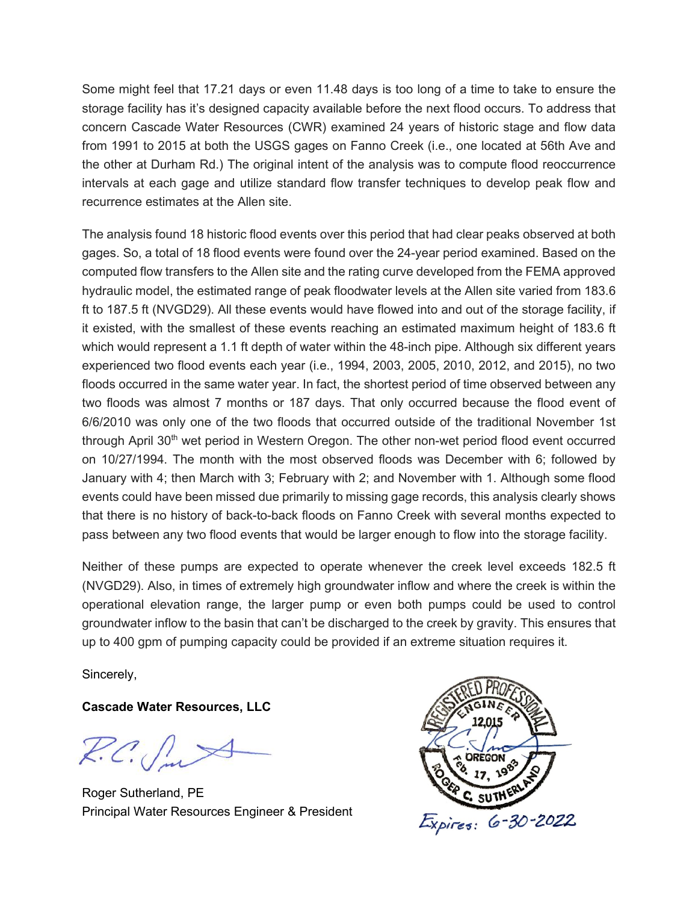Some might feel that 17.21 days or even 11.48 days is too long of a time to take to ensure the storage facility has it's designed capacity available before the next flood occurs. To address that concern Cascade Water Resources (CWR) examined 24 years of historic stage and flow data from 1991 to 2015 at both the USGS gages on Fanno Creek (i.e., one located at 56th Ave and the other at Durham Rd.) The original intent of the analysis was to compute flood reoccurrence intervals at each gage and utilize standard flow transfer techniques to develop peak flow and recurrence estimates at the Allen site.

The analysis found 18 historic flood events over this period that had clear peaks observed at both gages. So, a total of 18 flood events were found over the 24-year period examined. Based on the computed flow transfers to the Allen site and the rating curve developed from the FEMA approved hydraulic model, the estimated range of peak floodwater levels at the Allen site varied from 183.6 ft to 187.5 ft (NVGD29). All these events would have flowed into and out of the storage facility, if it existed, with the smallest of these events reaching an estimated maximum height of 183.6 ft which would represent a 1.1 ft depth of water within the 48-inch pipe. Although six different years experienced two flood events each year (i.e., 1994, 2003, 2005, 2010, 2012, and 2015), no two floods occurred in the same water year. In fact, the shortest period of time observed between any two floods was almost 7 months or 187 days. That only occurred because the flood event of 6/6/2010 was only one of the two floods that occurred outside of the traditional November 1st through April 30<sup>th</sup> wet period in Western Oregon. The other non-wet period flood event occurred on 10/27/1994. The month with the most observed floods was December with 6; followed by January with 4; then March with 3; February with 2; and November with 1. Although some flood events could have been missed due primarily to missing gage records, this analysis clearly shows that there is no history of back-to-back floods on Fanno Creek with several months expected to pass between any two flood events that would be larger enough to flow into the storage facility.

Neither of these pumps are expected to operate whenever the creek level exceeds 182.5 ft (NVGD29). Also, in times of extremely high groundwater inflow and where the creek is within the operational elevation range, the larger pump or even both pumps could be used to control groundwater inflow to the basin that can't be discharged to the creek by gravity. This ensures that up to 400 gpm of pumping capacity could be provided if an extreme situation requires it.

Sincerely,

**Cascade Water Resources, LLC** 

 $R.C.$ 

Roger Sutherland, PE Principal Water Resources Engineer & President